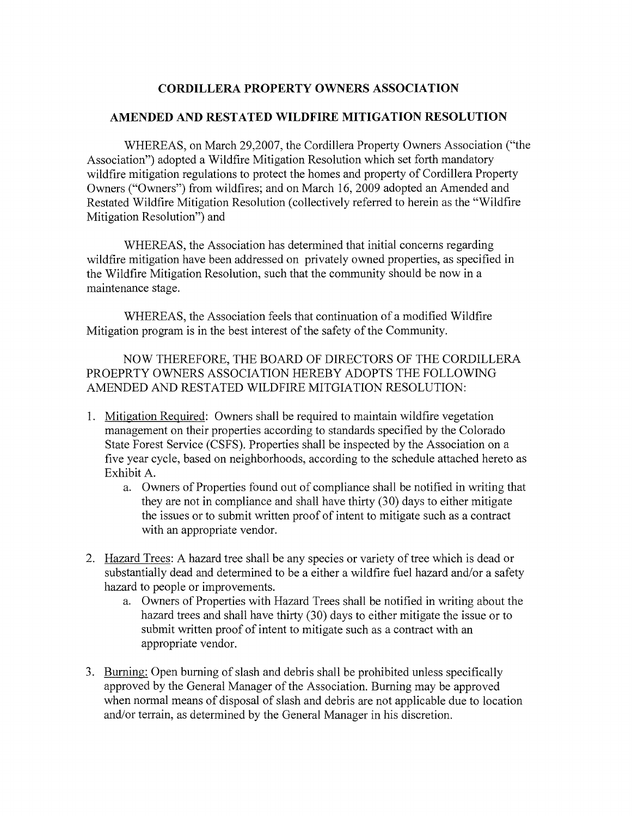## **CORDILLERA PROPERTY OWNERS ASSOCIATION**

## **AMENDED AND RESTATED WILDFIRE MITIGATION RESOLUTION**

WHEREAS, on March 29,2007, the Cordillera Property Owners Association ("the Association") adopted a Wildfire Mitigation Resolution which set forth mandatory wildfire mitigation regulations to protect the homes and property of Cordillera Property Owners ("Owners") from wildfires; and on March 16, 2009 adopted an Amended and Restated Wildfire Mitigation Resolution (collectively referred to herein as the "Wildfire Mitigation Resolution") and

WHEREAS, the Association has determined that initial concerns regarding wildfire mitigation have been addressed on privately owned properties, as specified in the Wildfire Mitigation Resolution, such that the community should be now in a maintenance stage.

WHEREAS, the Association feels that continuation of a modified Wildfire Mitigation program is in the best interest of the safety of the Community.

NOW THEREFORE, THE BOARD OF DIRECTORS OF THE CORDILLERA PROEPRTY OWNERS ASSOCIATION HEREBY ADOPTS THE FOLLOWING AMENDED AND RESTATED WILDFIRE MITGIATION RESOLUTION:

- 1. Mitigation Required: Owners shall be required to maintain wildfire vegetation management on their properties according to standards specified by the Colorado State Forest Service (CSFS). Properties shall be inspected by the Association on a five year cycle, based on neighborhoods, according to the schedule attached hereto as Exhibit A.
	- a. Owners of Properties found out of compliance shall be notified in writing that they are not in compliance and shall have thirty  $(30)$  days to either mitigate the issues or to submit written proof of intent to mitigate such as a contract with an appropriate vendor.
- 2. Hazard Trees: A hazard tree shall be any species or variety of tree which is dead or substantially dead and determined to be a either a wildfire fuel hazard and/or a safety hazard to people or improvements.
	- a. Owners of Properties with Hazard Trees shall be notified in writing about the hazard trees and shall have thirty (30) days to either mitigate the issue or to submit written proof of intent to mitigate such as a contract with an appropriate vendor.
- 3. Burning: Open burning of slash and debris shall be prohibited unless specifically approved by the General Manager of the Association. Burning may be approved when normal means of disposal of slash and debris are not applicable due to location and/or terrain, as determined by the General Manager in his discretion.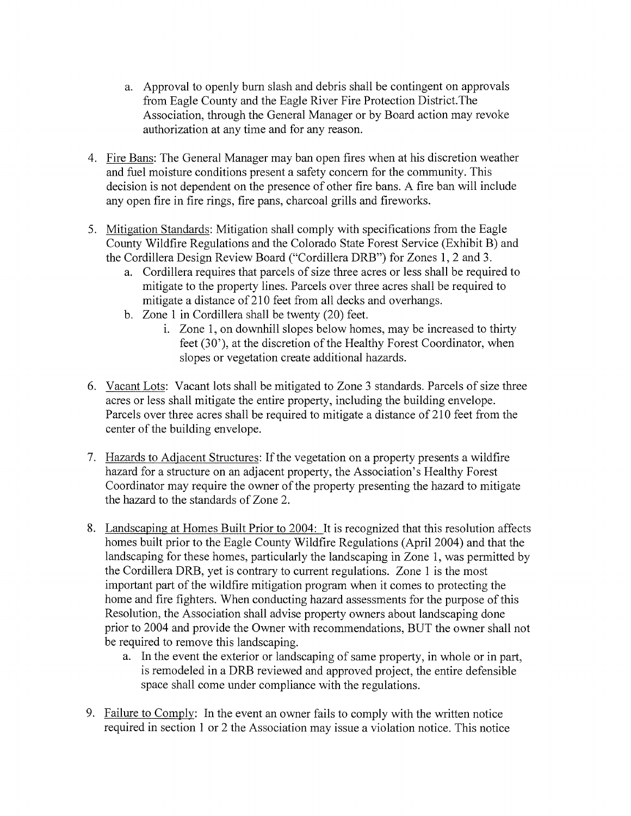- a. Approval to openly bum slash and debris shall be contingent on approvals from Eagle County and the Eagle River Fire Protection District.The Association, through the General Manager or by Board action may revoke authorization at any time and for any reason.
- 4. Fire Bans: The General Manager may ban open fires when at his discretion weather and fuel moisture conditions present a safety concern for the community. This decision is not dependent on the presence of other fire bans. A fire ban will include any open fire in fire rings, fire pans, charcoal grills and fireworks.
- 5. Mitigation Standards: Mitigation shall comply with specifications from the Eagle County Wildfire Regulations and the Colorado State Forest Service (Exhibit B) and the Cordillera Design Review Board ("Cordillera DRB") for Zones 1, 2 and 3.
	- a. Cordillera requires that parcels of size three acres or less shall be required to mitigate to the property lines. Parcels over three acres shall be required to mitigate a distance of 210 feet from all decks and overhangs.
	- b. Zone 1 in Cordillera shall be twenty (20) feet.
		- i. Zone 1, on downhill slopes below homes, may be increased to thirty feet (30'), at the discretion of the Healthy Forest Coordinator, when slopes or vegetation create additional hazards.
- 6. Vacant Lots: Vacant lots shall be mitigated to Zone 3 standards. Parcels of size three acres or less shall mitigate the entire property, including the building envelope. Parcels over three acres shall be required to mitigate a distance of 210 feet from the center of the building envelope.
- 7. Hazards to Adjacent Structures: If the vegetation on a property presents a wildfire hazard for a structure on an adjacent property, the Association's Healthy Forest Coordinator may require the owner of the property presenting the hazard to mitigate the hazard to the standards of Zone 2.
- 8. Landscaping at Homes Built Prior to 2004: It is recognized that this resolution affects homes built prior to the Eagle County Wildfire Regulations (April 2004) and that the landscaping for these homes, particularly the landscaping in Zone 1, was permitted by the Cordillera DRB, yet is contrary to current regulations. Zone 1 is the most important part of the wildfire mitigation program when it comes to protecting the home and fire fighters. When conducting hazard assessments for the purpose of this Resolution, the Association shall advise property owners about landscaping done prior to 2004 and provide the Owner with recommendations, BUT the owner shall not be required to remove this landscaping.
	- a. In the event the exterior or landscaping of same property, in whole or in part, is remodeled in a DRB reviewed and approved project, the entire defensible space shall come under compliance with the regulations.
- 9. Failure to Comply: In the event an owner fails to comply with the written notice required in section 1 or 2 the Association may issue a violation notice. This notice